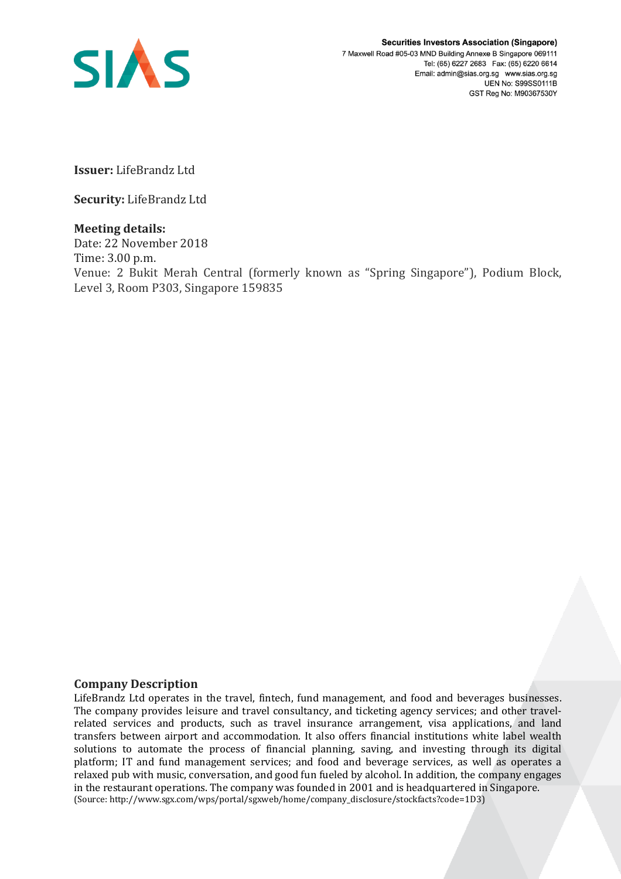

**Issuer:** LifeBrandz Ltd

**Security:** LifeBrandz Ltd

## **Meeting details:**

Date: 22 November 2018 Time: 3.00 p.m. Venue: 2 Bukit Merah Central (formerly known as "Spring Singapore"), Podium Block, Level 3, Room P303, Singapore 159835

## **Company Description**

LifeBrandz Ltd operates in the travel, fintech, fund management, and food and beverages businesses. The company provides leisure and travel consultancy, and ticketing agency services; and other travelrelated services and products, such as travel insurance arrangement, visa applications, and land transfers between airport and accommodation. It also offers financial institutions white label wealth solutions to automate the process of financial planning, saving, and investing through its digital platform; IT and fund management services; and food and beverage services, as well as operates a relaxed pub with music, conversation, and good fun fueled by alcohol. In addition, the company engages in the restaurant operations. The company was founded in 2001 and is headquartered in Singapore. (Source: http://www.sgx.com/wps/portal/sgxweb/home/company\_disclosure/stockfacts?code=1D3)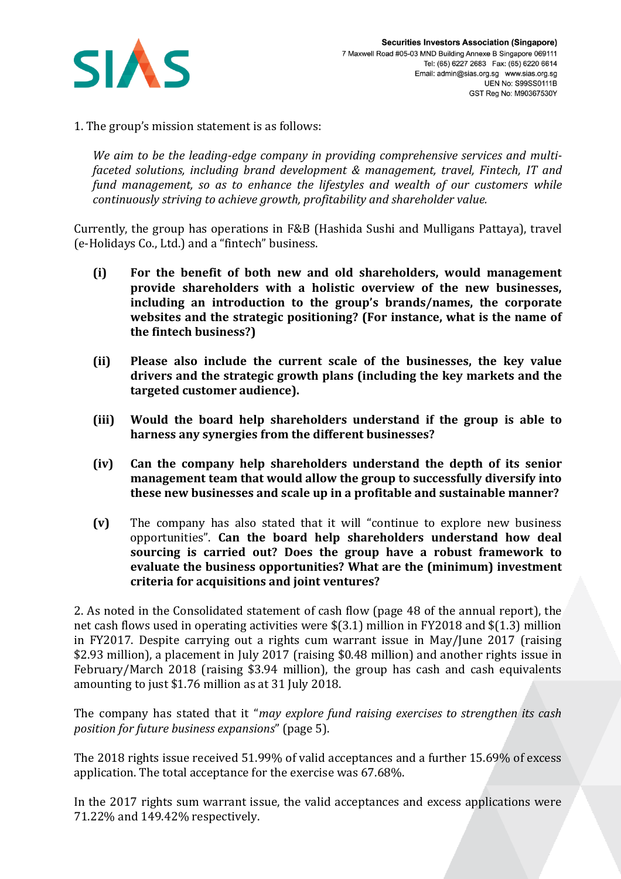

1. The group's mission statement is as follows:

*We aim to be the leading-edge company in providing comprehensive services and multifaceted solutions, including brand development & management, travel, Fintech, IT and fund management, so as to enhance the lifestyles and wealth of our customers while continuously striving to achieve growth, profitability and shareholder value.*

Currently, the group has operations in F&B (Hashida Sushi and Mulligans Pattaya), travel (e-Holidays Co., Ltd.) and a "fintech" business.

- **(i) For the benefit of both new and old shareholders, would management provide shareholders with a holistic overview of the new businesses, including an introduction to the group's brands/names, the corporate websites and the strategic positioning? (For instance, what is the name of the fintech business?)**
- **(ii) Please also include the current scale of the businesses, the key value drivers and the strategic growth plans (including the key markets and the targeted customer audience).**
- **(iii) Would the board help shareholders understand if the group is able to harness any synergies from the different businesses?**
- **(iv) Can the company help shareholders understand the depth of its senior management team that would allow the group to successfully diversify into these new businesses and scale up in a profitable and sustainable manner?**
- **(v)** The company has also stated that it will "continue to explore new business opportunities". **Can the board help shareholders understand how deal sourcing is carried out? Does the group have a robust framework to evaluate the business opportunities? What are the (minimum) investment criteria for acquisitions and joint ventures?**

2. As noted in the Consolidated statement of cash flow (page 48 of the annual report), the net cash flows used in operating activities were \$(3.1) million in FY2018 and \$(1.3) million in FY2017. Despite carrying out a rights cum warrant issue in May/June 2017 (raising \$2.93 million), a placement in July 2017 (raising \$0.48 million) and another rights issue in February/March 2018 (raising \$3.94 million), the group has cash and cash equivalents amounting to just \$1.76 million as at 31 July 2018.

The company has stated that it "*may explore fund raising exercises to strengthen its cash position for future business expansions*" (page 5).

The 2018 rights issue received 51.99% of valid acceptances and a further 15.69% of excess application. The total acceptance for the exercise was 67.68%.

In the 2017 rights sum warrant issue, the valid acceptances and excess applications were 71.22% and 149.42% respectively.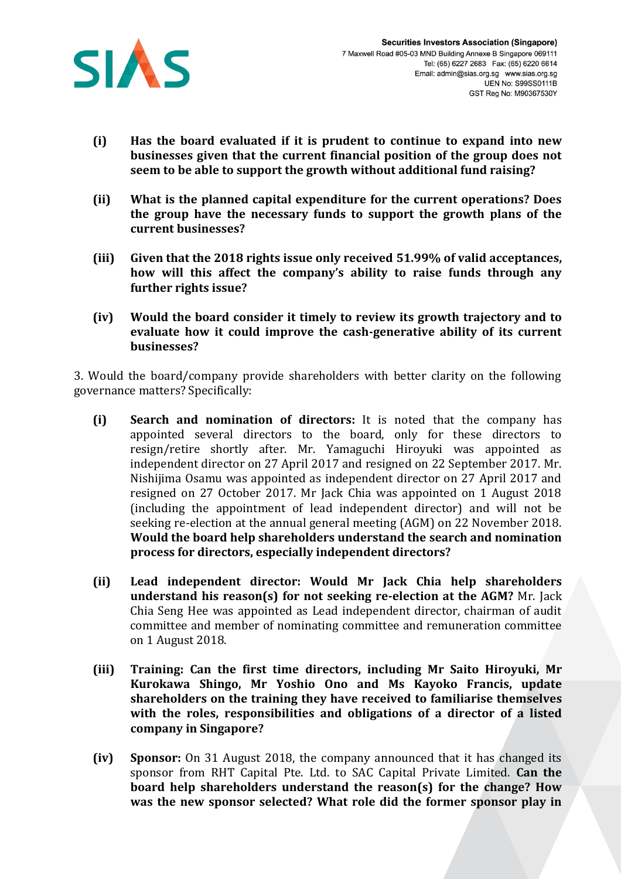

- **(i) Has the board evaluated if it is prudent to continue to expand into new businesses given that the current financial position of the group does not seem to be able to support the growth without additional fund raising?**
- **(ii) What is the planned capital expenditure for the current operations? Does the group have the necessary funds to support the growth plans of the current businesses?**
- **(iii) Given that the 2018 rights issue only received 51.99% of valid acceptances, how will this affect the company's ability to raise funds through any further rights issue?**
- **(iv) Would the board consider it timely to review its growth trajectory and to evaluate how it could improve the cash-generative ability of its current businesses?**

3. Would the board/company provide shareholders with better clarity on the following governance matters? Specifically:

- **(i) Search and nomination of directors:** It is noted that the company has appointed several directors to the board, only for these directors to resign/retire shortly after. Mr. Yamaguchi Hiroyuki was appointed as independent director on 27 April 2017 and resigned on 22 September 2017. Mr. Nishijima Osamu was appointed as independent director on 27 April 2017 and resigned on 27 October 2017. Mr Jack Chia was appointed on 1 August 2018 (including the appointment of lead independent director) and will not be seeking re-election at the annual general meeting (AGM) on 22 November 2018. **Would the board help shareholders understand the search and nomination process for directors, especially independent directors?**
- **(ii) Lead independent director: Would Mr Jack Chia help shareholders understand his reason(s) for not seeking re-election at the AGM?** Mr. Jack Chia Seng Hee was appointed as Lead independent director, chairman of audit committee and member of nominating committee and remuneration committee on 1 August 2018.
- **(iii) Training: Can the first time directors, including Mr Saito Hiroyuki, Mr Kurokawa Shingo, Mr Yoshio Ono and Ms Kayoko Francis, update shareholders on the training they have received to familiarise themselves with the roles, responsibilities and obligations of a director of a listed company in Singapore?**
- **(iv) Sponsor:** On 31 August 2018, the company announced that it has changed its sponsor from RHT Capital Pte. Ltd. to SAC Capital Private Limited. **Can the board help shareholders understand the reason(s) for the change? How was the new sponsor selected? What role did the former sponsor play in**